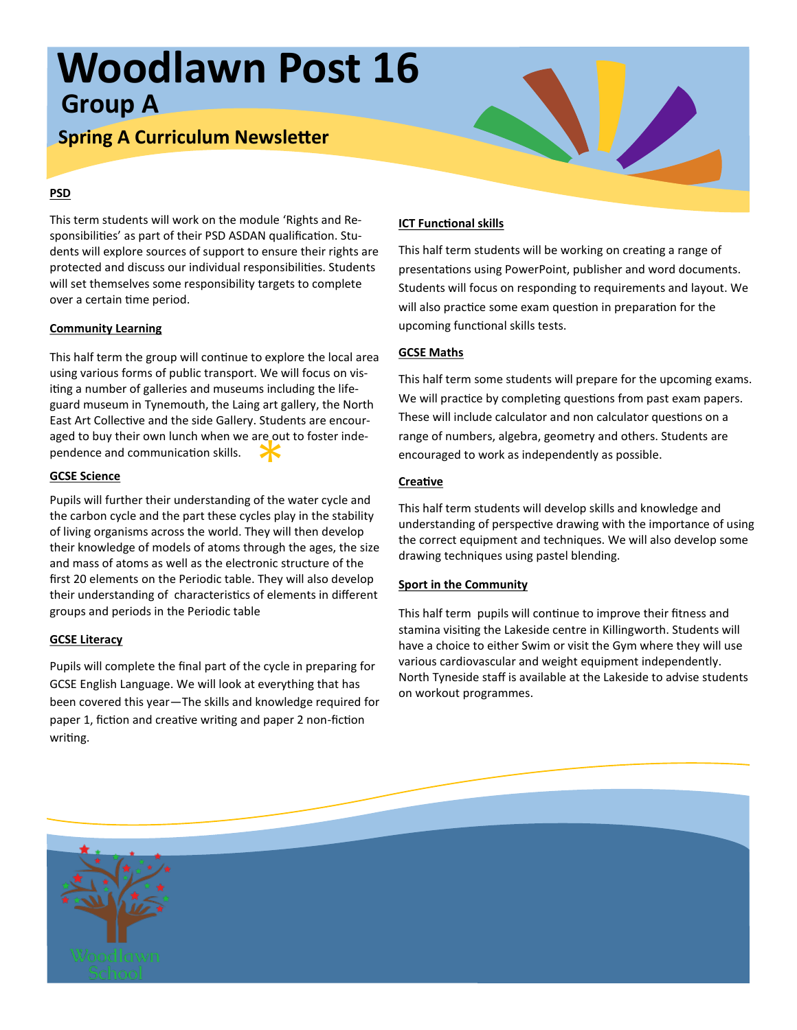# **Woodlawn Post 16 Group A**

## **Spring A Curriculum Newsletter**

### **PSD**

This term students will work on the module 'Rights and Responsibilities' as part of their PSD ASDAN qualification. Students will explore sources of support to ensure their rights are protected and discuss our individual responsibilities. Students will set themselves some responsibility targets to complete over a certain time period.

### **Community Learning**

aged to buy their own lunch when we are out to foster inde-<br>pendence and communication skills.<br>GCSE Science This half term the group will continue to explore the local area using various forms of public transport. We will focus on visiting a number of galleries and museums including the lifeguard museum in Tynemouth, the Laing art gallery, the North East Art Collective and the side Gallery. Students are encourpendence and communication skills.

### **GCSE Science**

Pupils will further their understanding of the water cycle and the carbon cycle and the part these cycles play in the stability of living organisms across the world. They will then develop their knowledge of models of atoms through the ages, the size and mass of atoms as well as the electronic structure of the first 20 elements on the Periodic table. They will also develop their understanding of characteristics of elements in different groups and periods in the Periodic table

### **GCSE Literacy**

Pupils will complete the final part of the cycle in preparing for GCSE English Language. We will look at everything that has been covered this year—The skills and knowledge required for paper 1, fiction and creative writing and paper 2 non-fiction writing.

### **ICT Functional skills**

This half term students will be working on creating a range of presentations using PowerPoint, publisher and word documents. Students will focus on responding to requirements and layout. We will also practice some exam question in preparation for the upcoming functional skills tests.

### **GCSE Maths**

This half term some students will prepare for the upcoming exams. We will practice by completing questions from past exam papers. These will include calculator and non calculator questions on a range of numbers, algebra, geometry and others. Students are encouraged to work as independently as possible.

### **Creative**

This half term students will develop skills and knowledge and understanding of perspective drawing with the importance of using the correct equipment and techniques. We will also develop some drawing techniques using pastel blending.

#### **Sport in the Community**

This half term pupils will continue to improve their fitness and stamina visiting the Lakeside centre in Killingworth. Students will have a choice to either Swim or visit the Gym where they will use various cardiovascular and weight equipment independently. North Tyneside staff is available at the Lakeside to advise students on workout programmes.